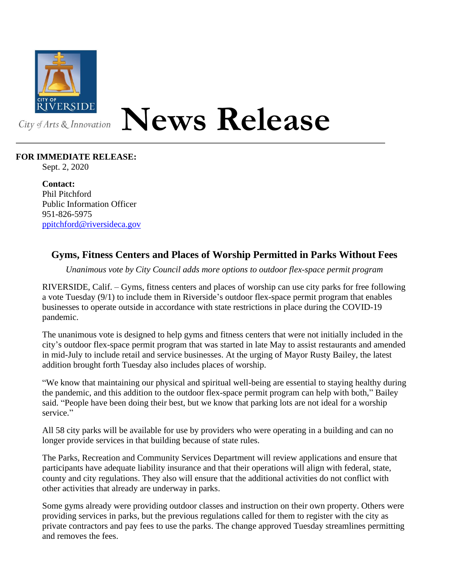

## **News Release**

## **FOR IMMEDIATE RELEASE:**

Sept. 2, 2020

**Contact:** Phil Pitchford Public Information Officer 951-826-5975 [ppitchford@riversideca.gov](mailto:ppitchford@riversideca.gov)

## **Gyms, Fitness Centers and Places of Worship Permitted in Parks Without Fees**

*Unanimous vote by City Council adds more options to outdoor flex-space permit program*

RIVERSIDE, Calif. – Gyms, fitness centers and places of worship can use city parks for free following a vote Tuesday (9/1) to include them in Riverside's outdoor flex-space permit program that enables businesses to operate outside in accordance with state restrictions in place during the COVID-19 pandemic.

The unanimous vote is designed to help gyms and fitness centers that were not initially included in the city's outdoor flex-space permit program that was started in late May to assist restaurants and amended in mid-July to include retail and service businesses. At the urging of Mayor Rusty Bailey, the latest addition brought forth Tuesday also includes places of worship.

"We know that maintaining our physical and spiritual well-being are essential to staying healthy during the pandemic, and this addition to the outdoor flex-space permit program can help with both," Bailey said. "People have been doing their best, but we know that parking lots are not ideal for a worship service."

All 58 city parks will be available for use by providers who were operating in a building and can no longer provide services in that building because of state rules.

The Parks, Recreation and Community Services Department will review applications and ensure that participants have adequate liability insurance and that their operations will align with federal, state, county and city regulations. They also will ensure that the additional activities do not conflict with other activities that already are underway in parks.

Some gyms already were providing outdoor classes and instruction on their own property. Others were providing services in parks, but the previous regulations called for them to register with the city as private contractors and pay fees to use the parks. The change approved Tuesday streamlines permitting and removes the fees.